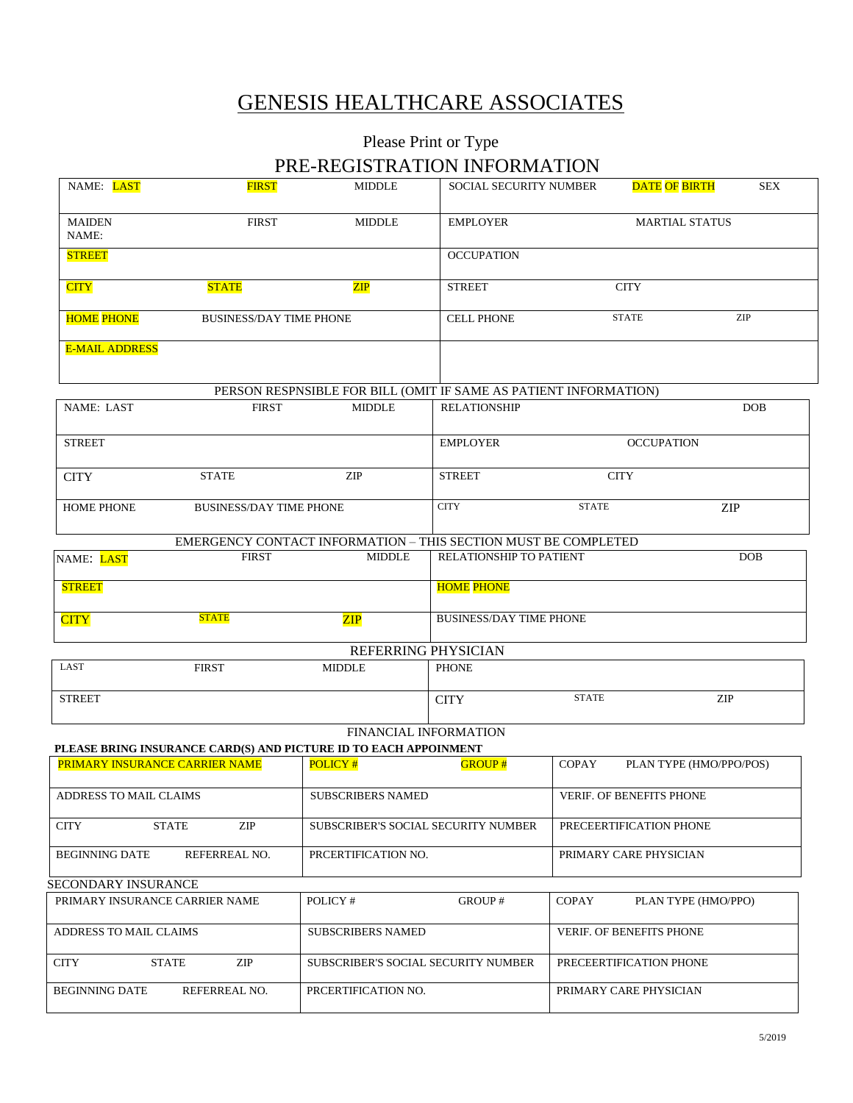# GENESIS HEALTHCARE ASSOCIATES

## Please Print or Type PRE-REGISTRATION INFORMATION

| NAME: LAST                     | <b>FIRST</b>                   | <b>MIDDLE</b>                                                                             | SOCIAL SECURITY NUMBER              |                                | DATE OF BIRTH               | <b>SEX</b> |  |
|--------------------------------|--------------------------------|-------------------------------------------------------------------------------------------|-------------------------------------|--------------------------------|-----------------------------|------------|--|
| <b>MAIDEN</b><br>NAME:         | <b>FIRST</b>                   | <b>MIDDLE</b>                                                                             | <b>EMPLOYER</b>                     | <b>MARTIAL STATUS</b>          |                             |            |  |
| <b>STREET</b>                  |                                |                                                                                           | <b>OCCUPATION</b>                   |                                |                             |            |  |
| <b>CITY</b>                    | <b>STATE</b>                   | ZIP                                                                                       | <b>STREET</b>                       |                                | <b>CITY</b>                 |            |  |
| <b>HOME PHONE</b>              | <b>BUSINESS/DAY TIME PHONE</b> |                                                                                           | <b>CELL PHONE</b>                   |                                | <b>STATE</b>                | ZIP        |  |
| <b>E-MAIL ADDRESS</b>          |                                |                                                                                           |                                     |                                |                             |            |  |
|                                |                                | PERSON RESPNSIBLE FOR BILL (OMIT IF SAME AS PATIENT INFORMATION)                          |                                     |                                |                             |            |  |
| NAME: LAST                     | <b>FIRST</b>                   | <b>MIDDLE</b>                                                                             | <b>RELATIONSHIP</b>                 |                                |                             | <b>DOB</b> |  |
| <b>STREET</b>                  |                                |                                                                                           | <b>EMPLOYER</b>                     |                                | <b>OCCUPATION</b>           |            |  |
| <b>CITY</b>                    | <b>STATE</b>                   | ZIP                                                                                       | <b>STREET</b>                       | <b>CITY</b>                    |                             |            |  |
| <b>HOME PHONE</b>              | <b>BUSINESS/DAY TIME PHONE</b> |                                                                                           | <b>CITY</b>                         | <b>STATE</b>                   |                             | <b>ZIP</b> |  |
|                                |                                | EMERGENCY CONTACT INFORMATION - THIS SECTION MUST BE COMPLETED                            |                                     |                                |                             |            |  |
| NAME: LAST                     | <b>FIRST</b>                   | <b>MIDDLE</b>                                                                             | RELATIONSHIP TO PATIENT             |                                |                             | DOB        |  |
| <b>STREET</b>                  |                                |                                                                                           | <b>HOME PHONE</b>                   |                                |                             |            |  |
| <b>CITY</b>                    | <b>STATE</b><br>ZIP            |                                                                                           |                                     | <b>BUSINESS/DAY TIME PHONE</b> |                             |            |  |
|                                |                                | REFERRING PHYSICIAN                                                                       |                                     |                                |                             |            |  |
| LAST                           | <b>FIRST</b>                   | <b>MIDDLE</b>                                                                             | <b>PHONE</b>                        |                                |                             |            |  |
| <b>STREET</b>                  |                                |                                                                                           | <b>CITY</b>                         | <b>STATE</b>                   | $\ensuremath{\mathrm{ZIP}}$ |            |  |
|                                |                                | FINANCIAL INFORMATION<br>PLEASE BRING INSURANCE CARD(S) AND PICTURE ID TO EACH APPOINMENT |                                     |                                |                             |            |  |
| PRIMARY INSURANCE CARRIER NAME |                                | POLICY#                                                                                   | <b>GROUP#</b>                       | <b>COPAY</b>                   | PLAN TYPE (HMO/PPO/POS)     |            |  |
|                                |                                |                                                                                           |                                     |                                |                             |            |  |
| ADDRESS TO MAIL CLAIMS         |                                | SUBSCRIBERS NAMED                                                                         |                                     | VERIF. OF BENEFITS PHONE       |                             |            |  |
| <b>CITY</b>                    | ZIP<br><b>STATE</b>            | SUBSCRIBER'S SOCIAL SECURITY NUMBER                                                       |                                     | PRECEERTIFICATION PHONE        |                             |            |  |
| <b>BEGINNING DATE</b>          | REFERREAL NO.                  | PRCERTIFICATION NO.                                                                       |                                     | PRIMARY CARE PHYSICIAN         |                             |            |  |
| SECONDARY INSURANCE            |                                |                                                                                           |                                     |                                |                             |            |  |
| PRIMARY INSURANCE CARRIER NAME |                                | POLICY#                                                                                   | GROUP#                              | COPAY                          | PLAN TYPE (HMO/PPO)         |            |  |
| ADDRESS TO MAIL CLAIMS         |                                | <b>SUBSCRIBERS NAMED</b>                                                                  |                                     | VERIF. OF BENEFITS PHONE       |                             |            |  |
| <b>CITY</b>                    | ZIP<br><b>STATE</b>            |                                                                                           | SUBSCRIBER'S SOCIAL SECURITY NUMBER |                                | PRECEERTIFICATION PHONE     |            |  |
| <b>BEGINNING DATE</b>          | REFERREAL NO.                  | PRCERTIFICATION NO.                                                                       |                                     |                                | PRIMARY CARE PHYSICIAN      |            |  |